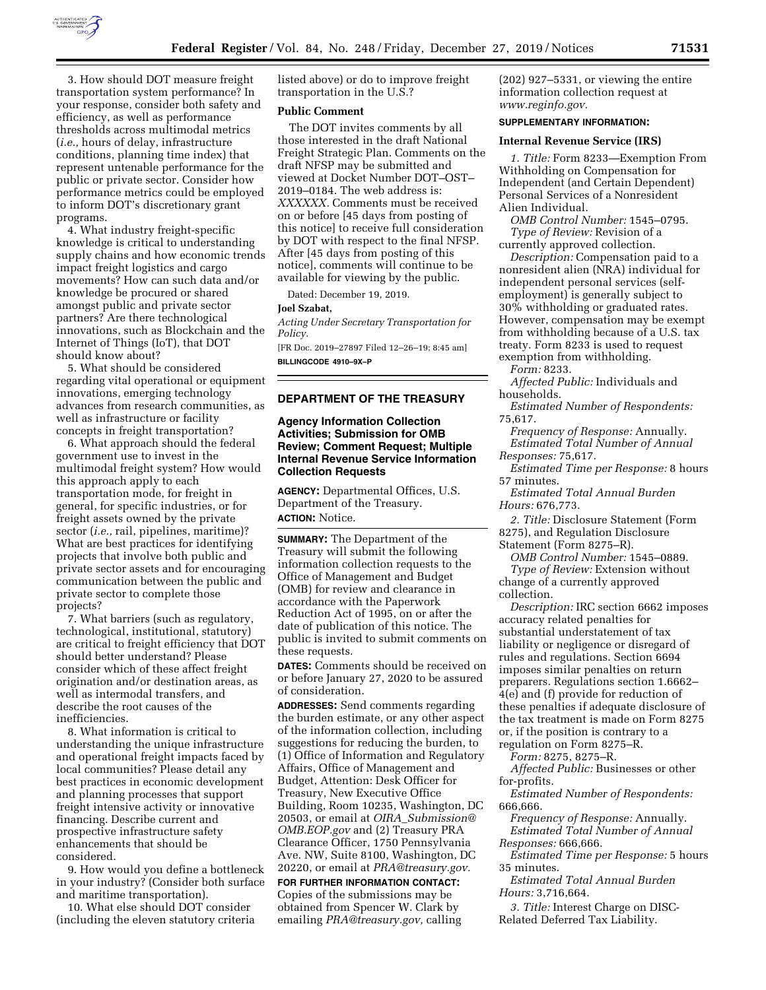

3. How should DOT measure freight transportation system performance? In your response, consider both safety and efficiency, as well as performance thresholds across multimodal metrics (*i.e.,* hours of delay, infrastructure conditions, planning time index) that represent untenable performance for the public or private sector. Consider how performance metrics could be employed to inform DOT's discretionary grant programs.

4. What industry freight-specific knowledge is critical to understanding supply chains and how economic trends impact freight logistics and cargo movements? How can such data and/or knowledge be procured or shared amongst public and private sector partners? Are there technological innovations, such as Blockchain and the Internet of Things (IoT), that DOT should know about?

5. What should be considered regarding vital operational or equipment innovations, emerging technology advances from research communities, as well as infrastructure or facility concepts in freight transportation?

6. What approach should the federal government use to invest in the multimodal freight system? How would this approach apply to each transportation mode, for freight in general, for specific industries, or for freight assets owned by the private sector (*i.e.,* rail, pipelines, maritime)? What are best practices for identifying projects that involve both public and private sector assets and for encouraging communication between the public and private sector to complete those projects?

7. What barriers (such as regulatory, technological, institutional, statutory) are critical to freight efficiency that DOT should better understand? Please consider which of these affect freight origination and/or destination areas, as well as intermodal transfers, and describe the root causes of the inefficiencies.

8. What information is critical to understanding the unique infrastructure and operational freight impacts faced by local communities? Please detail any best practices in economic development and planning processes that support freight intensive activity or innovative financing. Describe current and prospective infrastructure safety enhancements that should be considered.

9. How would you define a bottleneck in your industry? (Consider both surface and maritime transportation).

10. What else should DOT consider (including the eleven statutory criteria listed above) or do to improve freight transportation in the U.S.?

## **Public Comment**

The DOT invites comments by all those interested in the draft National Freight Strategic Plan. Comments on the draft NFSP may be submitted and viewed at Docket Number DOT–OST– 2019–0184. The web address is: *XXXXXX.* Comments must be received on or before [45 days from posting of this notice] to receive full consideration by DOT with respect to the final NFSP. After [45 days from posting of this notice], comments will continue to be available for viewing by the public.

Dated: December 19, 2019.

#### **Joel Szabat,**

*Acting Under Secretary Transportation for Policy.* 

[FR Doc. 2019–27897 Filed 12–26–19; 8:45 am] **BILLINGCODE 4910–9X–P** 

## **DEPARTMENT OF THE TREASURY**

## **Agency Information Collection Activities; Submission for OMB Review; Comment Request; Multiple Internal Revenue Service Information Collection Requests**

**AGENCY:** Departmental Offices, U.S. Department of the Treasury. **ACTION:** Notice.

**SUMMARY:** The Department of the Treasury will submit the following information collection requests to the Office of Management and Budget (OMB) for review and clearance in accordance with the Paperwork Reduction Act of 1995, on or after the date of publication of this notice. The public is invited to submit comments on these requests.

**DATES:** Comments should be received on or before January 27, 2020 to be assured of consideration.

**ADDRESSES:** Send comments regarding the burden estimate, or any other aspect of the information collection, including suggestions for reducing the burden, to (1) Office of Information and Regulatory Affairs, Office of Management and Budget, Attention: Desk Officer for Treasury, New Executive Office Building, Room 10235, Washington, DC 20503, or email at *OIRA*\_*[Submission@](mailto:OIRA_Submission@OMB.EOP.gov) [OMB.EOP.gov](mailto:OIRA_Submission@OMB.EOP.gov)* and (2) Treasury PRA Clearance Officer, 1750 Pennsylvania Ave. NW, Suite 8100, Washington, DC 20220, or email at *[PRA@treasury.gov.](mailto:PRA@treasury.gov)* 

**FOR FURTHER INFORMATION CONTACT:**  Copies of the submissions may be obtained from Spencer W. Clark by emailing *[PRA@treasury.gov,](mailto:PRA@treasury.gov)* calling (202) 927–5331, or viewing the entire information collection request at *[www.reginfo.gov.](http://www.reginfo.gov)* 

# **SUPPLEMENTARY INFORMATION:**

### **Internal Revenue Service (IRS)**

*1. Title:* Form 8233—Exemption From Withholding on Compensation for Independent (and Certain Dependent) Personal Services of a Nonresident Alien Individual.

*OMB Control Number:* 1545–0795. *Type of Review:* Revision of a currently approved collection.

*Description:* Compensation paid to a nonresident alien (NRA) individual for independent personal services (selfemployment) is generally subject to 30% withholding or graduated rates. However, compensation may be exempt from withholding because of a U.S. tax treaty. Form 8233 is used to request exemption from withholding.

*Form:* 8233.

*Affected Public:* Individuals and households.

*Estimated Number of Respondents:*  75,617.

*Frequency of Response:* Annually. *Estimated Total Number of Annual Responses:* 75,617.

*Estimated Time per Response:* 8 hours 57 minutes.

*Estimated Total Annual Burden Hours:* 676,773.

*2. Title:* Disclosure Statement (Form 8275), and Regulation Disclosure Statement (Form 8275–R).

*OMB Control Number:* 1545–0889.

*Type of Review:* Extension without change of a currently approved collection.

*Description:* IRC section 6662 imposes accuracy related penalties for substantial understatement of tax liability or negligence or disregard of rules and regulations. Section 6694 imposes similar penalties on return preparers. Regulations section 1.6662– 4(e) and (f) provide for reduction of these penalties if adequate disclosure of the tax treatment is made on Form 8275 or, if the position is contrary to a regulation on Form 8275–R.

*Form:* 8275, 8275–R.

*Affected Public:* Businesses or other for-profits.

*Estimated Number of Respondents:*  666,666.

*Frequency of Response:* Annually. *Estimated Total Number of Annual Responses:* 666,666.

*Estimated Time per Response:* 5 hours 35 minutes.

*Estimated Total Annual Burden Hours:* 3,716,664.

*3. Title:* Interest Charge on DISC-Related Deferred Tax Liability.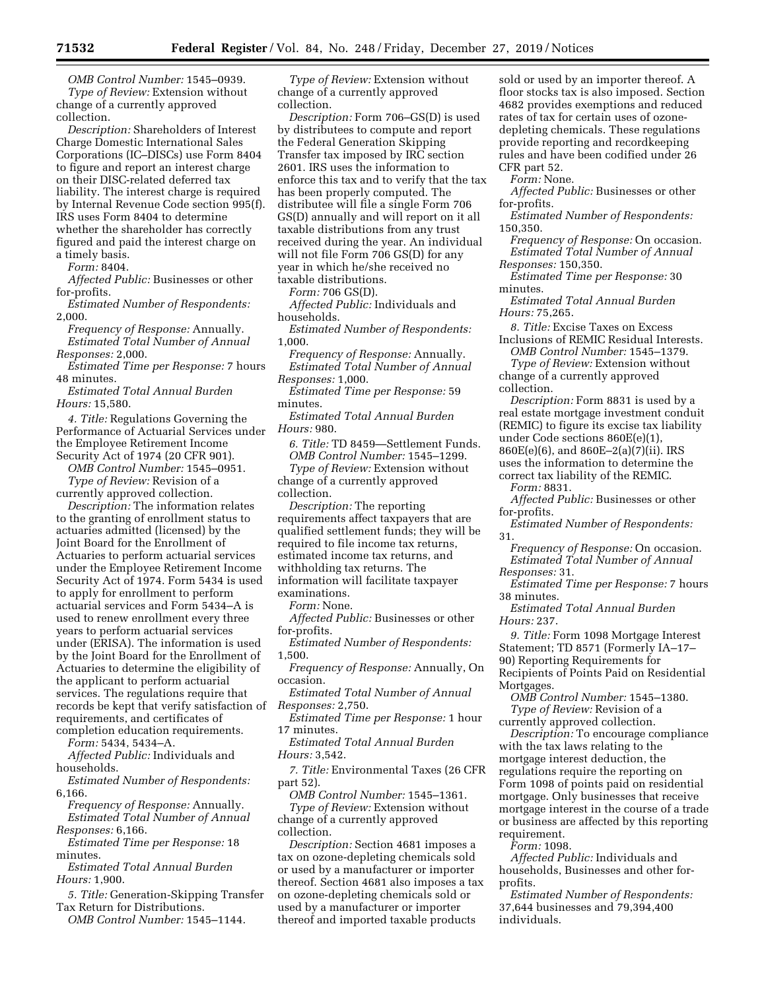*OMB Control Number:* 1545–0939. *Type of Review:* Extension without change of a currently approved collection.

*Description:* Shareholders of Interest Charge Domestic International Sales Corporations (IC–DISCs) use Form 8404 to figure and report an interest charge on their DISC-related deferred tax liability. The interest charge is required by Internal Revenue Code section 995(f). IRS uses Form 8404 to determine whether the shareholder has correctly figured and paid the interest charge on a timely basis.

*Form:* 8404.

*Affected Public:* Businesses or other for-profits.

*Estimated Number of Respondents:*  2,000.

*Frequency of Response:* Annually. *Estimated Total Number of Annual Responses:* 2,000.

*Estimated Time per Response:* 7 hours 48 minutes.

*Estimated Total Annual Burden Hours:* 15,580.

*4. Title:* Regulations Governing the Performance of Actuarial Services under the Employee Retirement Income Security Act of 1974 (20 CFR 901).

*OMB Control Number:* 1545–0951.

*Type of Review:* Revision of a currently approved collection.

*Description:* The information relates to the granting of enrollment status to actuaries admitted (licensed) by the Joint Board for the Enrollment of Actuaries to perform actuarial services under the Employee Retirement Income Security Act of 1974. Form 5434 is used to apply for enrollment to perform actuarial services and Form 5434–A is used to renew enrollment every three years to perform actuarial services under (ERISA). The information is used by the Joint Board for the Enrollment of Actuaries to determine the eligibility of the applicant to perform actuarial services. The regulations require that records be kept that verify satisfaction of *Responses:* 2,750. requirements, and certificates of

completion education requirements. *Form:* 5434, 5434–A.

*Affected Public:* Individuals and households.

*Estimated Number of Respondents:*  6,166.

*Frequency of Response:* Annually. *Estimated Total Number of Annual Responses:* 6,166.

*Estimated Time per Response:* 18 minutes.

*Estimated Total Annual Burden Hours:* 1,900.

*5. Title:* Generation-Skipping Transfer Tax Return for Distributions.

*OMB Control Number:* 1545–1144.

*Type of Review:* Extension without change of a currently approved collection.

*Description:* Form 706–GS(D) is used by distributees to compute and report the Federal Generation Skipping Transfer tax imposed by IRC section 2601. IRS uses the information to enforce this tax and to verify that the tax has been properly computed. The distributee will file a single Form 706 GS(D) annually and will report on it all taxable distributions from any trust received during the year. An individual will not file Form 706 GS(D) for any year in which he/she received no taxable distributions.

*Form:* 706 GS(D).

*Affected Public:* Individuals and households.

*Estimated Number of Respondents:*  1,000.

*Frequency of Response:* Annually. *Estimated Total Number of Annual Responses:* 1,000.

*Estimated Time per Response:* 59 minutes.

*Estimated Total Annual Burden Hours:* 980.

*6. Title:* TD 8459—Settlement Funds. *OMB Control Number:* 1545–1299. *Type of Review:* Extension without change of a currently approved collection.

*Description:* The reporting requirements affect taxpayers that are qualified settlement funds; they will be required to file income tax returns, estimated income tax returns, and withholding tax returns. The information will facilitate taxpayer

examinations.

*Form:* None.

*Affected Public:* Businesses or other for-profits.

*Estimated Number of Respondents:*  1,500.

*Frequency of Response:* Annually, On occasion. *Estimated Total Number of Annual* 

*Estimated Time per Response:* 1 hour 17 minutes.

*Estimated Total Annual Burden Hours:* 3,542.

*7. Title:* Environmental Taxes (26 CFR part 52).

*OMB Control Number:* 1545–1361.

*Type of Review:* Extension without change of a currently approved collection.

*Description:* Section 4681 imposes a tax on ozone-depleting chemicals sold or used by a manufacturer or importer thereof. Section 4681 also imposes a tax on ozone-depleting chemicals sold or used by a manufacturer or importer thereof and imported taxable products

sold or used by an importer thereof. A floor stocks tax is also imposed. Section 4682 provides exemptions and reduced rates of tax for certain uses of ozonedepleting chemicals. These regulations provide reporting and recordkeeping rules and have been codified under 26 CFR part 52.

*Form:* None.

*Affected Public:* Businesses or other for-profits.

*Estimated Number of Respondents:*  150,350.

*Frequency of Response:* On occasion. *Estimated Total Number of Annual* 

*Responses:* 150,350. *Estimated Time per Response:* 30 minutes.

*Estimated Total Annual Burden Hours:* 75,265.

*8. Title:* Excise Taxes on Excess Inclusions of REMIC Residual Interests.

*OMB Control Number:* 1545–1379.

*Type of Review:* Extension without change of a currently approved collection.

*Description:* Form 8831 is used by a real estate mortgage investment conduit (REMIC) to figure its excise tax liability under Code sections 860E(e)(1), 860E(e)(6), and 860E–2(a)(7)(ii). IRS uses the information to determine the correct tax liability of the REMIC.

*Form:* 8831.

*Affected Public:* Businesses or other for-profits.

*Estimated Number of Respondents:*  31.

*Frequency of Response:* On occasion. *Estimated Total Number of Annual Responses:* 31.

*Estimated Time per Response:* 7 hours 38 minutes.

*Estimated Total Annual Burden Hours:* 237.

*9. Title:* Form 1098 Mortgage Interest Statement; TD 8571 (Formerly IA–17– 90) Reporting Requirements for Recipients of Points Paid on Residential Mortgages.

*OMB Control Number:* 1545–1380. *Type of Review:* Revision of a

currently approved collection. *Description:* To encourage compliance with the tax laws relating to the mortgage interest deduction, the regulations require the reporting on Form 1098 of points paid on residential mortgage. Only businesses that receive mortgage interest in the course of a trade or business are affected by this reporting requirement.

*Form:* 1098.

*Affected Public:* Individuals and households, Businesses and other forprofits.

*Estimated Number of Respondents:*  37,644 businesses and 79,394,400 individuals.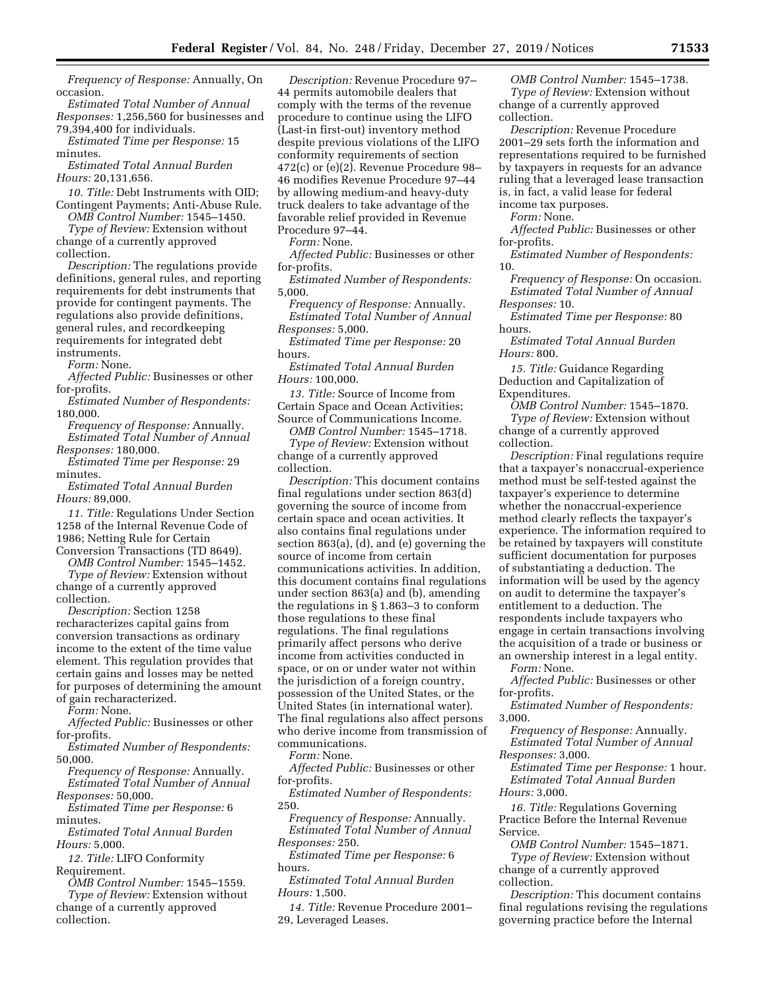*Frequency of Response:* Annually, On occasion.

*Estimated Total Number of Annual Responses:* 1,256,560 for businesses and 79,394,400 for individuals.

*Estimated Time per Response:* 15 minutes.

*Estimated Total Annual Burden Hours:* 20,131,656.

*10. Title:* Debt Instruments with OID; Contingent Payments; Anti-Abuse Rule.

*OMB Control Number:* 1545–1450. *Type of Review:* Extension without change of a currently approved

collection. *Description:* The regulations provide definitions, general rules, and reporting requirements for debt instruments that provide for contingent payments. The regulations also provide definitions, general rules, and recordkeeping requirements for integrated debt instruments.

*Form:* None.

*Affected Public:* Businesses or other for-profits.

*Estimated Number of Respondents:*  180,000.

*Frequency of Response:* Annually. *Estimated Total Number of Annual Responses:* 180,000.

*Estimated Time per Response:* 29 minutes.

*Estimated Total Annual Burden Hours:* 89,000.

*11. Title:* Regulations Under Section 1258 of the Internal Revenue Code of 1986; Netting Rule for Certain

Conversion Transactions (TD 8649). *OMB Control Number:* 1545–1452.

*Type of Review:* Extension without change of a currently approved collection.

*Description:* Section 1258 recharacterizes capital gains from conversion transactions as ordinary income to the extent of the time value element. This regulation provides that certain gains and losses may be netted for purposes of determining the amount of gain recharacterized.

*Form:* None.

*Affected Public:* Businesses or other for-profits.

*Estimated Number of Respondents:*  50,000.

*Frequency of Response:* Annually. *Estimated Total Number of Annual* 

*Responses:* 50,000. *Estimated Time per Response:* 6 minutes.

*Estimated Total Annual Burden Hours:* 5,000.

*12. Title:* LIFO Conformity Requirement.

*OMB Control Number:* 1545–1559. *Type of Review:* Extension without change of a currently approved collection.

*Description:* Revenue Procedure 97– 44 permits automobile dealers that comply with the terms of the revenue procedure to continue using the LIFO (Last-in first-out) inventory method despite previous violations of the LIFO conformity requirements of section 472(c) or (e)(2). Revenue Procedure 98– 46 modifies Revenue Procedure 97–44 by allowing medium-and heavy-duty truck dealers to take advantage of the favorable relief provided in Revenue Procedure 97–44.

*Form:* None.

*Affected Public:* Businesses or other for-profits.

*Estimated Number of Respondents:*  5,000.

*Frequency of Response:* Annually. *Estimated Total Number of Annual Responses:* 5,000.

*Estimated Time per Response:* 20 hours.

*Estimated Total Annual Burden Hours:* 100,000.

*13. Title:* Source of Income from Certain Space and Ocean Activities; Source of Communications Income.

*OMB Control Number:* 1545–1718.

*Type of Review:* Extension without change of a currently approved collection.

*Description:* This document contains final regulations under section 863(d) governing the source of income from certain space and ocean activities. It also contains final regulations under section 863(a), (d), and (e) governing the source of income from certain communications activities. In addition, this document contains final regulations under section 863(a) and (b), amending the regulations in § 1.863–3 to conform those regulations to these final regulations. The final regulations primarily affect persons who derive income from activities conducted in space, or on or under water not within the jurisdiction of a foreign country, possession of the United States, or the United States (in international water). The final regulations also affect persons who derive income from transmission of communications.

*Form:* None.

*Affected Public:* Businesses or other for-profits.

*Estimated Number of Respondents:*  250.

*Frequency of Response:* Annually. *Estimated Total Number of Annual Responses:* 250.

*Estimated Time per Response:* 6 hours.

*Estimated Total Annual Burden Hours:* 1,500.

*14. Title:* Revenue Procedure 2001– 29, Leveraged Leases.

*OMB Control Number:* 1545–1738. *Type of Review:* Extension without change of a currently approved collection.

*Description:* Revenue Procedure 2001–29 sets forth the information and representations required to be furnished by taxpayers in requests for an advance ruling that a leveraged lease transaction is, in fact, a valid lease for federal income tax purposes.

*Form:* None.

*Affected Public:* Businesses or other for-profits.

*Estimated Number of Respondents:*  10.

*Frequency of Response:* On occasion. *Estimated Total Number of Annual Responses:* 10.

*Estimated Time per Response:* 80 hours.

*Estimated Total Annual Burden Hours:* 800.

*15. Title:* Guidance Regarding Deduction and Capitalization of Expenditures.

*OMB Control Number:* 1545–1870.

*Type of Review:* Extension without change of a currently approved collection.

*Description:* Final regulations require that a taxpayer's nonaccrual-experience method must be self-tested against the taxpayer's experience to determine whether the nonaccrual-experience method clearly reflects the taxpayer's experience. The information required to be retained by taxpayers will constitute sufficient documentation for purposes of substantiating a deduction. The information will be used by the agency on audit to determine the taxpayer's entitlement to a deduction. The respondents include taxpayers who engage in certain transactions involving the acquisition of a trade or business or an ownership interest in a legal entity.

*Form:* None.

*Affected Public:* Businesses or other for-profits.

*Estimated Number of Respondents:*  3,000.

*Frequency of Response:* Annually. *Estimated Total Number of Annual* 

*Responses:* 3,000.

*Estimated Time per Response:* 1 hour. *Estimated Total Annual Burden Hours:* 3,000.

*16. Title:* Regulations Governing Practice Before the Internal Revenue Service.

*OMB Control Number:* 1545–1871. *Type of Review:* Extension without change of a currently approved collection.

*Description:* This document contains final regulations revising the regulations governing practice before the Internal